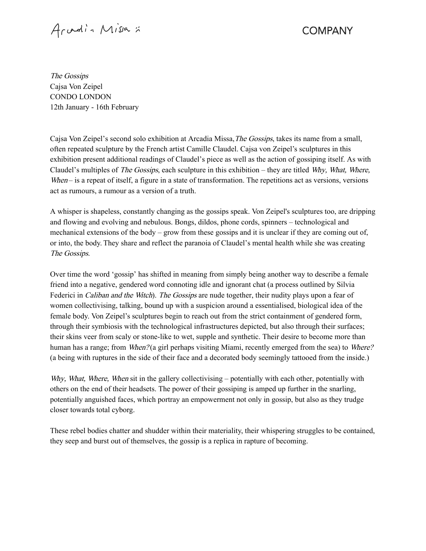Arvadin Missa :

**COMPANY** 

The Gossips Cajsa Von Zeipel CONDO LONDON 12th January - 16th February

Cajsa Von Zeipel's second solo exhibition at Arcadia Missa, *The Gossips*, takes its name from a small, often repeated sculpture by the French artist Camille Claudel. Cajsa von Zeipel's sculptures in this exhibition present additional readings of Claudel's piece as well as the action of gossiping itself. As with Claudel's multiples of *The Gossips*, each sculpture in this exhibition – they are titled  $Whv$ , *What, Where*, When – is a repeat of itself, a figure in a state of transformation. The repetitions act as versions, versions act as rumours, a rumour as a version of a truth.

A whisper is shapeless, constantly changing as the gossips speak. Von Zeipel's sculptures too, are dripping and flowing and evolving and nebulous. Bongs, dildos, phone cords, spinners – technological and mechanical extensions of the body – grow from these gossips and it is unclear if they are coming out of, or into, the body. They share and reflect the paranoia of Claudel's mental health while she was creating The Gossips.

Over time the word 'gossip' has shifted in meaning from simply being another way to describe a female friend into a negative, gendered word connoting idle and ignorant chat (a process outlined by Silvia Federici in *Caliban and the Witch*). The Gossips are nude together, their nudity plays upon a fear of women collectivising, talking, bound up with a suspicion around a essentialised, biological idea of the female body. Von Zeipel's sculptures begin to reach out from the strict containment of gendered form, through their symbiosis with the technological infrastructures depicted, but also through their surfaces; their skins veer from scaly or stone-like to wet, supple and synthetic. Their desire to become more than human has a range; from *When?* (a girl perhaps visiting Miami, recently emerged from the sea) to *Where?* (a being with ruptures in the side of their face and a decorated body seemingly tattooed from the inside.)

Why, What, Where, When sit in the gallery collectivising – potentially with each other, potentially with others on the end of their headsets. The power of their gossiping is amped up further in the snarling, potentially anguished faces, which portray an empowerment not only in gossip, but also as they trudge closer towards total cyborg.

These rebel bodies chatter and shudder within their materiality, their whispering struggles to be contained, they seep and burst out of themselves, the gossip is a replica in rapture of becoming.